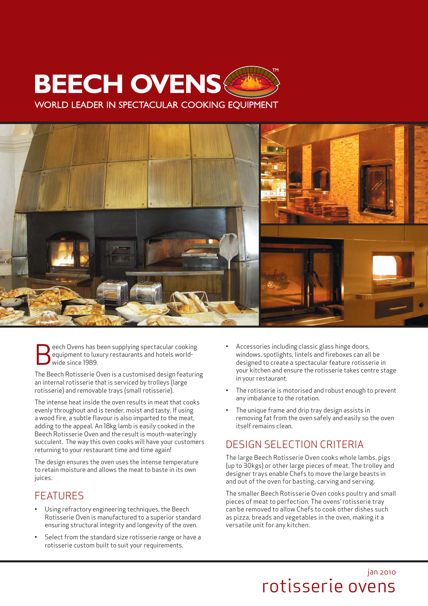## **BEECH OVENS WORLD LEADER IN SPECTACULAR COOKING EOUIPMENT**



eech Ovens has been supplying spectacular cooking equipment to luxury restaurants and hotels worldwide since 1989.

The Beech Rotisserie Oven is a customised design featuring an internal rotisserie that is serviced by trolleys (large rotisserie) and removable trays (small rotisserie).

The intense heat inside the oven results in meat that cooks evenly throughout and is tender, moist and tasty. If using a wood fire, a subtle flavour is also imparted to the meat, adding to the appeal. An 18kg lamb is easily cooked in the Beech Rotisserie Oven and the result is mouth-wateringly succulent. The way this oven cooks will have your customers returning to your restaurant time and time again!

The design ensures the oven uses the intense temperature to retain moisture and allows the meat to baste in its own juices.

#### FEATURES

- Using refractory engineering techniques, the Beech Rotisserie Oven is manufactured to a superior standard ensuring structural integrity and longevity of the oven.
- Select from the standard size rotisserie range or have a rotisserie custom built to suit your requirements.
- Accessories including classic glass hinge doors, windows, spotlights, lintels and fireboxes can all be designed to create a spectacular feature rotisserie in your kitchen and ensure the rotisserie takes centre stage in your restaurant.
- The rotisserie is motorised and robust enough to prevent any imbalance to the rotation.
- The unique frame and drip tray design assists in removing fat from the oven safely and easily so the oven itself remains clean.

## DESIGN SELECTION CRITERIA

The large Beech Rotisserie Oven cooks whole lambs, pigs (up to 30kgs) or other large pieces of meat. The trolley and designer trays enable Chefs to move the large beasts in and out of the oven for basting, carving and serving.

The smaller Beech Rotisserie Oven cooks poultry and small pieces of meat to perfection. The ovens' rotisserie tray can be removed to allow Chefs to cook other dishes such as pizza, breads and vegetables in the oven, making it a versatile unit for any kitchen.

## jan 2010 rotisserie ovens